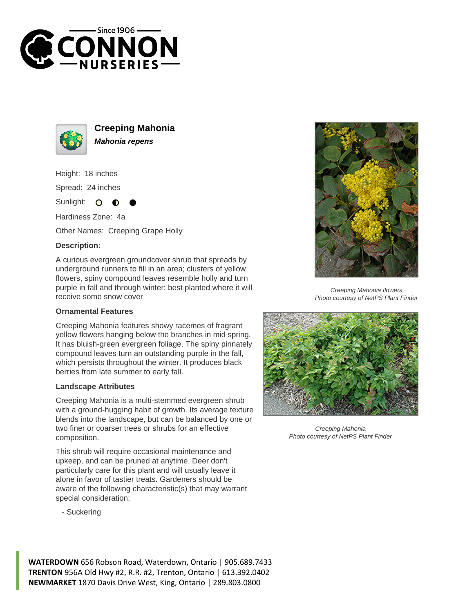



**Creeping Mahonia Mahonia repens**

Height: 18 inches

Spread: 24 inches

Sunlight:  $\Omega$ 

Hardiness Zone: 4a

Other Names: Creeping Grape Holly

## **Description:**

A curious evergreen groundcover shrub that spreads by underground runners to fill in an area; clusters of yellow flowers, spiny compound leaves resemble holly and turn purple in fall and through winter; best planted where it will receive some snow cover

## **Ornamental Features**

Creeping Mahonia features showy racemes of fragrant yellow flowers hanging below the branches in mid spring. It has bluish-green evergreen foliage. The spiny pinnately compound leaves turn an outstanding purple in the fall, which persists throughout the winter. It produces black berries from late summer to early fall.

## **Landscape Attributes**

Creeping Mahonia is a multi-stemmed evergreen shrub with a ground-hugging habit of growth. Its average texture blends into the landscape, but can be balanced by one or two finer or coarser trees or shrubs for an effective composition.

This shrub will require occasional maintenance and upkeep, and can be pruned at anytime. Deer don't particularly care for this plant and will usually leave it alone in favor of tastier treats. Gardeners should be aware of the following characteristic(s) that may warrant special consideration;

- Suckering



Creeping Mahonia flowers Photo courtesy of NetPS Plant Finder



Creeping Mahonia Photo courtesy of NetPS Plant Finder

**WATERDOWN** 656 Robson Road, Waterdown, Ontario | 905.689.7433 **TRENTON** 956A Old Hwy #2, R.R. #2, Trenton, Ontario | 613.392.0402 **NEWMARKET** 1870 Davis Drive West, King, Ontario | 289.803.0800